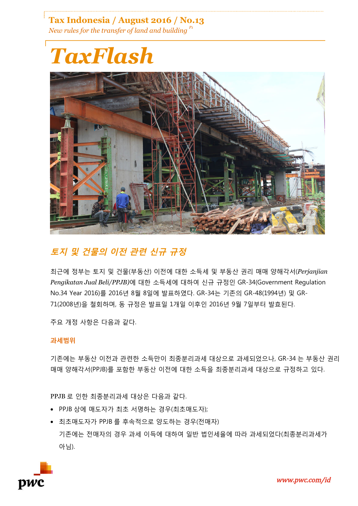**Tax Indonesia / August 2016 / No.13** *New rules for the transfer of land and building P1*

# *TaxFlash*



# **토지 및 건물의 이전 관련 신규 규정**

최근에 정부는 토지 및 건물(부동산) 이전에 대한 소득세 및 부동산 권리 매매 양해각서(*Perjanjian Pengikatan Jual Beli/PPJB)*에 대한 소득세에 대하여 신규 규정인 GR-34(Government Regulation No.34 Year 2016)를 2016년 8월 8일에 발표하였다. GR-34는 기존의 GR-48(1994년) 및 GR-71(2008년)을 철회하며, 동 규정은 발표일 1개일 이후인 2016년 9월 7일부터 발효된다.

주요 개정 사항은 다음과 같다.

# **과세범위**

기존에는 부동산 이전과 관련한 소득만이 최종분리과세 대상으로 과세되었으나, GR-34 는 부동산 권리 매매 양해각서(PPJB)를 포함한 부동산 이전에 대한 소득을 최종분리과세 대상으로 규정하고 있다.

PPJB 로 인한 최종분리과세 대상은 다음과 같다.

- PPJB 상에 매도자가 최초 서명하는 경우(최초매도자);
- 최초매도자가 PPJB 를 후속적으로 양도하는 경우(전매자) 기존에는 전매자의 경우 과세 이득에 대하여 일반 법인세율에 따라 과세되었다(최종분리과세가 아님).

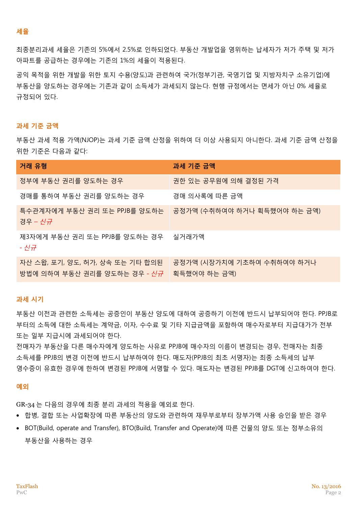#### **세율**

최종분리과세 세율은 기존의 5%에서 2.5%로 인하되었다. 부동산 개발업을 영위하는 납세자가 저가 주택 및 저가 아파트를 공급하는 경우에는 기존의 1%의 세율이 적용된다.

공익 목적을 위한 개발을 위한 토지 수용(양도)과 관련하여 국가(정부기관, 국영기업 및 지방자치구 소유기업)에 부동산을 양도하는 경우에는 기존과 같이 소득세가 과세되지 않는다. 현행 규정에서는 면세가 아닌 0% 세율로 규정되어 있다.

### **과세 기준 금액**

부동산 과세 적용 가액(NJOP)는 과세 기준 금액 산정을 위하여 더 이상 사용되지 아니한다. 과세 기준 금액 산정을 위한 기준은 다음과 같다:

| 거래 유형                                                                  | 과세 기준 금액                                   |
|------------------------------------------------------------------------|--------------------------------------------|
| 정부에 부동산 권리를 양도하는 경우                                                    | 권한 있는 공무원에 의해 결정된 가격                       |
| 경매를 통하여 부동산 권리를 양도하는 경우                                                | 경매 의사록에 따른 금액                              |
| - 특수관계자에게 부동산 권리 또는 PPJB를 양도하는<br>_경우 - <i>신규</i>                      | 공정가액 (수취하여야 하거나 획득했어야 하는 금액)               |
| 제3자에게 부동산 권리 또는 PPJB를 양도하는 경우 _ 실거래가액<br>- 신규                          |                                            |
| 자산 스왑, 포기, 양도, 허가, 상속 또는 기타 합의된<br>방법에 의하여 부동산 권리를 양도하는 경우 <i>- 신규</i> | 공정가액 (시장가치에 기초하여 수취하여야 하거나<br>획득했어야 하는 금액) |

#### **과세 시기**

부동산 이전과 관련한 소득세는 공증인이 부동산 양도에 대하여 공증하기 이전에 반드시 납부되어야 한다. PPJB로 부터의 소득에 대한 소득세는 계약금, 이자, 수수료 및 기타 지급금액을 포함하여 매수자로부터 지급대가가 전부 또는 일부 지급시에 과세되어야 한다.

전매자가 부동산을 다른 매수자에게 양도하는 사유로 PPJB에 매수자의 이름이 변경되는 경우, 전매자는 최종 소득세를 PPJB의 변경 이전에 반드시 납부하여야 한다. 매도자(PPJB의 최초 서명자)는 최종 소득세의 납부 영수증이 유효한 경우에 한하여 변경된 PPJB에 서명할 수 있다. 매도자는 변경된 PPJB를 DGT에 신고하여야 한다.

#### **예외**

GR-34 는 다음의 경우에 최종 분리 과세의 적용을 예외로 한다.

- 합병, 결합 또는 사업확장에 따른 부동산의 양도와 관련하여 재무부로부터 장부가액 사용 승인을 받은 경우
- BOT(Build, operate and Transfer), BTO(Build, Transfer and Operate)에 따른 건물의 양도 또는 정부소유의 부동산을 사용하는 경우